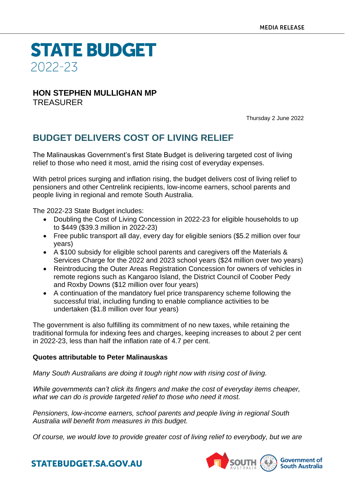**STATE BUDGET** 2022-23

## **HON STEPHEN MULLIGHAN MP** TREASURER

Thursday 2 June 2022

## **BUDGET DELIVERS COST OF LIVING RELIEF**

The Malinauskas Government's first State Budget is delivering targeted cost of living relief to those who need it most, amid the rising cost of everyday expenses.

With petrol prices surging and inflation rising, the budget delivers cost of living relief to pensioners and other Centrelink recipients, low-income earners, school parents and people living in regional and remote South Australia.

The 2022-23 State Budget includes:

- Doubling the Cost of Living Concession in 2022-23 for eligible households to up to \$449 (\$39.3 million in 2022-23)
- Free public transport all day, every day for eligible seniors (\$5.2 million over four years)
- A \$100 subsidy for eligible school parents and caregivers off the Materials & Services Charge for the 2022 and 2023 school years (\$24 million over two years)
- Reintroducing the Outer Areas Registration Concession for owners of vehicles in remote regions such as Kangaroo Island, the District Council of Coober Pedy and Roxby Downs (\$12 million over four years)
- A continuation of the mandatory fuel price transparency scheme following the successful trial, including funding to enable compliance activities to be undertaken (\$1.8 million over four years)

The government is also fulfilling its commitment of no new taxes, while retaining the traditional formula for indexing fees and charges, keeping increases to about 2 per cent in 2022-23, less than half the inflation rate of 4.7 per cent.

## **Quotes attributable to Peter Malinauskas**

*Many South Australians are doing it tough right now with rising cost of living.*

*While governments can't click its fingers and make the cost of everyday items cheaper, what we can do is provide targeted relief to those who need it most.*

*Pensioners, low-income earners, school parents and people living in regional South Australia will benefit from measures in this budget.*

*Of course, we would love to provide greater cost of living relief to everybody, but we are*